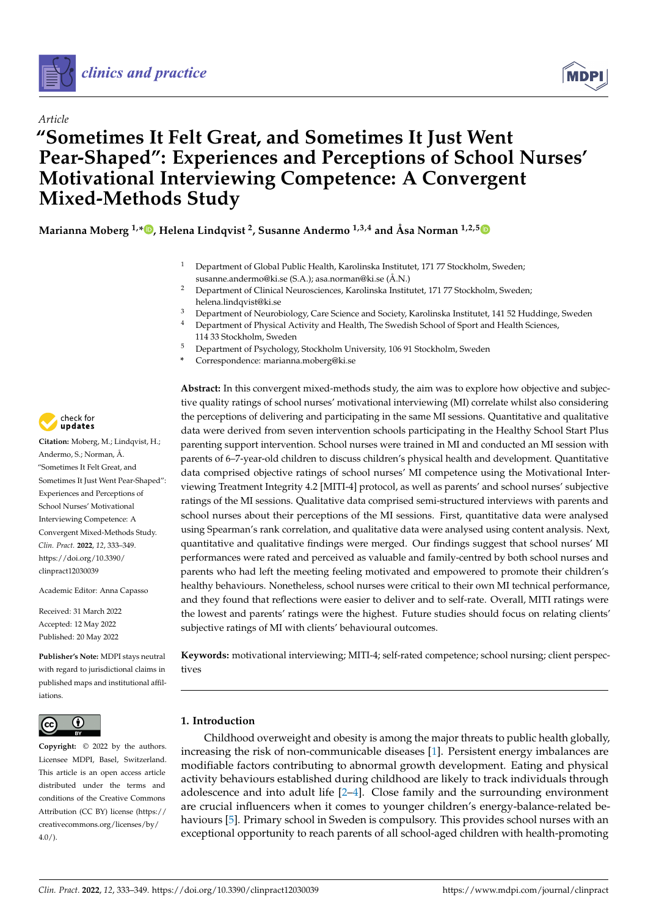



# *Article* **"Sometimes It Felt Great, and Sometimes It Just Went Pear-Shaped": Experiences and Perceptions of School Nurses' Motivational Interviewing Competence: A Convergent Mixed-Methods Study**

**Marianna Moberg 1,[\\*](https://orcid.org/0000-0001-6627-4766) , Helena Lindqvist <sup>2</sup> , Susanne Andermo 1,3,4 and Åsa Norman 1,2,[5](https://orcid.org/0000-0002-0313-3066)**

- <sup>1</sup> Department of Global Public Health, Karolinska Institutet, 171 77 Stockholm, Sweden; susanne.andermo@ki.se (S.A.); asa.norman@ki.se (Å.N.)
- <sup>2</sup> Department of Clinical Neurosciences, Karolinska Institutet, 171 77 Stockholm, Sweden; helena.lindqvist@ki.se
- <sup>3</sup> Department of Neurobiology, Care Science and Society, Karolinska Institutet, 141 52 Huddinge, Sweden
- Department of Physical Activity and Health, The Swedish School of Sport and Health Sciences, 114 33 Stockholm, Sweden
- <sup>5</sup> Department of Psychology, Stockholm University, 106 91 Stockholm, Sweden
- **\*** Correspondence: marianna.moberg@ki.se

**Abstract:** In this convergent mixed-methods study, the aim was to explore how objective and subjective quality ratings of school nurses' motivational interviewing (MI) correlate whilst also considering the perceptions of delivering and participating in the same MI sessions. Quantitative and qualitative data were derived from seven intervention schools participating in the Healthy School Start Plus parenting support intervention. School nurses were trained in MI and conducted an MI session with parents of 6–7-year-old children to discuss children's physical health and development. Quantitative data comprised objective ratings of school nurses' MI competence using the Motivational Interviewing Treatment Integrity 4.2 [MITI-4] protocol, as well as parents' and school nurses' subjective ratings of the MI sessions. Qualitative data comprised semi-structured interviews with parents and school nurses about their perceptions of the MI sessions. First, quantitative data were analysed using Spearman's rank correlation, and qualitative data were analysed using content analysis. Next, quantitative and qualitative findings were merged. Our findings suggest that school nurses' MI performances were rated and perceived as valuable and family-centred by both school nurses and parents who had left the meeting feeling motivated and empowered to promote their children's healthy behaviours. Nonetheless, school nurses were critical to their own MI technical performance, and they found that reflections were easier to deliver and to self-rate. Overall, MITI ratings were the lowest and parents' ratings were the highest. Future studies should focus on relating clients' subjective ratings of MI with clients' behavioural outcomes.

**Keywords:** motivational interviewing; MITI-4; self-rated competence; school nursing; client perspectives

# **1. Introduction**

Childhood overweight and obesity is among the major threats to public health globally, increasing the risk of non-communicable diseases [\[1\]](#page-14-0). Persistent energy imbalances are modifiable factors contributing to abnormal growth development. Eating and physical activity behaviours established during childhood are likely to track individuals through adolescence and into adult life [\[2](#page-14-1)[–4\]](#page-15-0). Close family and the surrounding environment are crucial influencers when it comes to younger children's energy-balance-related behaviours [\[5\]](#page-15-1). Primary school in Sweden is compulsory. This provides school nurses with an exceptional opportunity to reach parents of all school-aged children with health-promoting



**Citation:** Moberg, M.; Lindqvist, H.; Andermo, S.; Norman, Å. "Sometimes It Felt Great, and Sometimes It Just Went Pear-Shaped": Experiences and Perceptions of School Nurses' Motivational Interviewing Competence: A Convergent Mixed-Methods Study. *Clin. Pract.* **2022**, *12*, 333–349. [https://doi.org/10.3390/](https://doi.org/10.3390/clinpract12030039) [clinpract12030039](https://doi.org/10.3390/clinpract12030039)

Academic Editor: Anna Capasso

Received: 31 March 2022 Accepted: 12 May 2022 Published: 20 May 2022

**Publisher's Note:** MDPI stays neutral with regard to jurisdictional claims in published maps and institutional affiliations.



**Copyright:** © 2022 by the authors. Licensee MDPI, Basel, Switzerland. This article is an open access article distributed under the terms and conditions of the Creative Commons Attribution (CC BY) license [\(https://](https://creativecommons.org/licenses/by/4.0/) [creativecommons.org/licenses/by/](https://creativecommons.org/licenses/by/4.0/)  $4.0/$ ).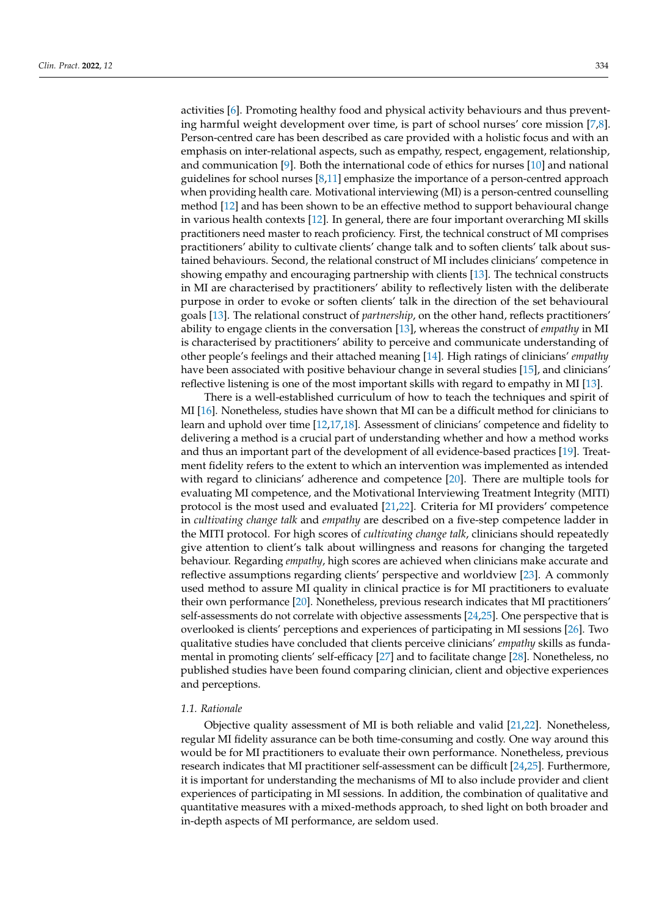activities [\[6\]](#page-15-2). Promoting healthy food and physical activity behaviours and thus preventing harmful weight development over time, is part of school nurses' core mission [\[7,](#page-15-3)[8\]](#page-15-4). Person-centred care has been described as care provided with a holistic focus and with an emphasis on inter-relational aspects, such as empathy, respect, engagement, relationship, and communication [\[9\]](#page-15-5). Both the international code of ethics for nurses [\[10\]](#page-15-6) and national guidelines for school nurses  $[8,11]$  $[8,11]$  emphasize the importance of a person-centred approach when providing health care. Motivational interviewing (MI) is a person-centred counselling method [\[12\]](#page-15-8) and has been shown to be an effective method to support behavioural change in various health contexts [\[12\]](#page-15-8). In general, there are four important overarching MI skills practitioners need master to reach proficiency. First, the technical construct of MI comprises practitioners' ability to cultivate clients' change talk and to soften clients' talk about sustained behaviours. Second, the relational construct of MI includes clinicians' competence in showing empathy and encouraging partnership with clients [\[13\]](#page-15-9). The technical constructs in MI are characterised by practitioners' ability to reflectively listen with the deliberate purpose in order to evoke or soften clients' talk in the direction of the set behavioural goals [\[13\]](#page-15-9). The relational construct of *partnership*, on the other hand, reflects practitioners' ability to engage clients in the conversation [\[13\]](#page-15-9), whereas the construct of *empathy* in MI is characterised by practitioners' ability to perceive and communicate understanding of other people's feelings and their attached meaning [\[14\]](#page-15-10). High ratings of clinicians' *empathy* have been associated with positive behaviour change in several studies [\[15\]](#page-15-11), and clinicians' reflective listening is one of the most important skills with regard to empathy in MI [\[13\]](#page-15-9).

There is a well-established curriculum of how to teach the techniques and spirit of MI [\[16\]](#page-15-12). Nonetheless, studies have shown that MI can be a difficult method for clinicians to learn and uphold over time [\[12](#page-15-8)[,17,](#page-15-13)[18\]](#page-15-14). Assessment of clinicians' competence and fidelity to delivering a method is a crucial part of understanding whether and how a method works and thus an important part of the development of all evidence-based practices [\[19\]](#page-15-15). Treatment fidelity refers to the extent to which an intervention was implemented as intended with regard to clinicians' adherence and competence [\[20\]](#page-15-16). There are multiple tools for evaluating MI competence, and the Motivational Interviewing Treatment Integrity (MITI) protocol is the most used and evaluated [\[21,](#page-15-17)[22\]](#page-15-18). Criteria for MI providers' competence in *cultivating change talk* and *empathy* are described on a five-step competence ladder in the MITI protocol. For high scores of *cultivating change talk*, clinicians should repeatedly give attention to client's talk about willingness and reasons for changing the targeted behaviour. Regarding *empathy*, high scores are achieved when clinicians make accurate and reflective assumptions regarding clients' perspective and worldview [\[23\]](#page-15-19). A commonly used method to assure MI quality in clinical practice is for MI practitioners to evaluate their own performance [\[20\]](#page-15-16). Nonetheless, previous research indicates that MI practitioners' self-assessments do not correlate with objective assessments [\[24,](#page-15-20)[25\]](#page-15-21). One perspective that is overlooked is clients' perceptions and experiences of participating in MI sessions [\[26\]](#page-15-22). Two qualitative studies have concluded that clients perceive clinicians' *empathy* skills as fundamental in promoting clients' self-efficacy [\[27\]](#page-15-23) and to facilitate change [\[28\]](#page-15-24). Nonetheless, no published studies have been found comparing clinician, client and objective experiences and perceptions.

#### *1.1. Rationale*

Objective quality assessment of MI is both reliable and valid [\[21](#page-15-17)[,22\]](#page-15-18). Nonetheless, regular MI fidelity assurance can be both time-consuming and costly. One way around this would be for MI practitioners to evaluate their own performance. Nonetheless, previous research indicates that MI practitioner self-assessment can be difficult [\[24](#page-15-20)[,25\]](#page-15-21). Furthermore, it is important for understanding the mechanisms of MI to also include provider and client experiences of participating in MI sessions. In addition, the combination of qualitative and quantitative measures with a mixed-methods approach, to shed light on both broader and in-depth aspects of MI performance, are seldom used.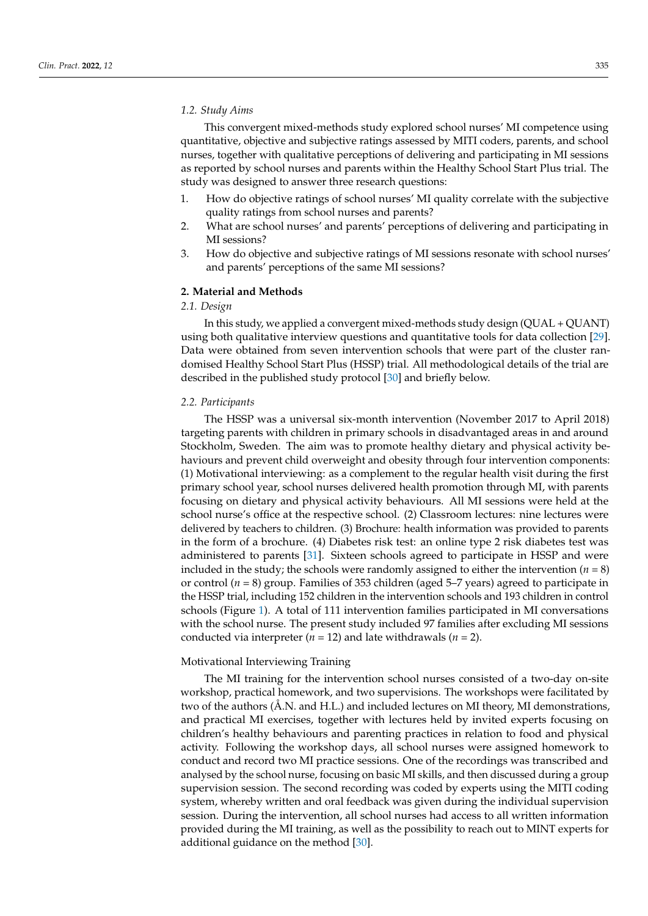#### *1.2. Study Aims*

This convergent mixed-methods study explored school nurses' MI competence using quantitative, objective and subjective ratings assessed by MITI coders, parents, and school nurses, together with qualitative perceptions of delivering and participating in MI sessions as reported by school nurses and parents within the Healthy School Start Plus trial. The study was designed to answer three research questions:

- 1. How do objective ratings of school nurses' MI quality correlate with the subjective quality ratings from school nurses and parents?
- 2. What are school nurses' and parents' perceptions of delivering and participating in MI sessions?
- 3. How do objective and subjective ratings of MI sessions resonate with school nurses' and parents' perceptions of the same MI sessions?

#### **2. Material and Methods**

# *2.1. Design*

In this study, we applied a convergent mixed-methods study design (QUAL + QUANT) using both qualitative interview questions and quantitative tools for data collection [\[29\]](#page-15-25). Data were obtained from seven intervention schools that were part of the cluster randomised Healthy School Start Plus (HSSP) trial. All methodological details of the trial are described in the published study protocol [\[30\]](#page-15-26) and briefly below.

#### *2.2. Participants*

The HSSP was a universal six-month intervention (November 2017 to April 2018) targeting parents with children in primary schools in disadvantaged areas in and around Stockholm, Sweden. The aim was to promote healthy dietary and physical activity behaviours and prevent child overweight and obesity through four intervention components: (1) Motivational interviewing: as a complement to the regular health visit during the first primary school year, school nurses delivered health promotion through MI, with parents focusing on dietary and physical activity behaviours. All MI sessions were held at the school nurse's office at the respective school. (2) Classroom lectures: nine lectures were delivered by teachers to children. (3) Brochure: health information was provided to parents in the form of a brochure. (4) Diabetes risk test: an online type 2 risk diabetes test was administered to parents [\[31\]](#page-16-0). Sixteen schools agreed to participate in HSSP and were included in the study; the schools were randomly assigned to either the intervention ( $n = 8$ ) or control (*n =* 8) group. Families of 353 children (aged 5–7 years) agreed to participate in the HSSP trial, including 152 children in the intervention schools and 193 children in control schools (Figure [1\)](#page-3-0). A total of 111 intervention families participated in MI conversations with the school nurse. The present study included 97 families after excluding MI sessions conducted via interpreter (*n =* 12) and late withdrawals (*n =* 2).

#### Motivational Interviewing Training

The MI training for the intervention school nurses consisted of a two-day on-site workshop, practical homework, and two supervisions. The workshops were facilitated by two of the authors (Å.N. and H.L.) and included lectures on MI theory, MI demonstrations, and practical MI exercises, together with lectures held by invited experts focusing on children's healthy behaviours and parenting practices in relation to food and physical activity. Following the workshop days, all school nurses were assigned homework to conduct and record two MI practice sessions. One of the recordings was transcribed and analysed by the school nurse, focusing on basic MI skills, and then discussed during a group supervision session. The second recording was coded by experts using the MITI coding system, whereby written and oral feedback was given during the individual supervision session. During the intervention, all school nurses had access to all written information provided during the MI training, as well as the possibility to reach out to MINT experts for additional guidance on the method [\[30\]](#page-15-26).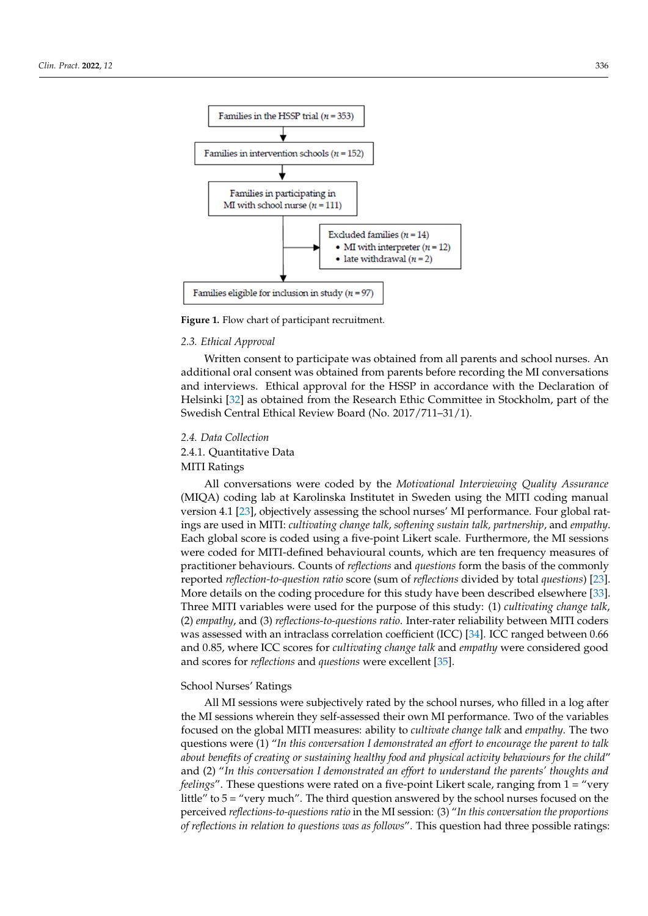<span id="page-3-0"></span>

**Figure 1.** Flow chart of participant recruitment. **Figure 1.** Flow chart of participant recruitment.

# Motivational Interviewing Training *2.3. Ethical Approval*

MI term and training for the intervention school nurses. The additional oral consent was obtained from parents before recording the MI conversations additional oral consent was obtained from parents before recording the three role consents. and microtonic Education provide for the ricer in decordance with the Declaration of Helsinki [\[32\]](#page-16-1) as obtained from the Research Ethic Committee in Stockholm, part of the tions, and provides the process of the process of the contract of the state of the control of the control Estimate for the control by invited by invited experiments for the control by invited by invited by invited by invit Swedish Central Ethical Review Board (No. 2017/711–31/1). Written consent to participate was obtained from all parents and school nurses. An

# activity. Following the workshop days, all school nurses were assigned homework to con-*2.4. Data Collection*

2.4.1. Quantitative Data **and an-**

 $\Delta$  MITI Ratings, focusing on basic MI skills, and then discussed during a group and then discussed during a group and then discussed during a group and then discussed during a group and then discussed during a group and MITI Ratings

All conversations were coded by the *Motivational Interviewing Quality Assurance*  $MIQA$ ) coding lab at Karolinska Institutet in Sweden using the MITI coding manual  $MIQA$ ) version 4.1 [\[23\]](#page-15-19), objectively assessing the school nurses' MI performance. Four global ratprovided during the MI training, as well as the possibility to reach out to MINT experts ings are used in MITI: *cultivating change talk*, *softening sustain talk, partnership*, and *empathy*. for a cases in the method called guidance of methods chemically, particle expansions and global score is coded using a five-point Likert scale. Furthermore, the MI sessions *2.3. Ethical Approval*  practitioner behaviours. Counts of *reflections* and *questions* form the basis of the commonly reported *reflection-to-question ratio* score (sum of *reflections* divided by total *questions*) [\[23\]](#page-15-19). More details on the coding procedure for this study have been described elsewhere [\[33\]](#page-16-2). Three MITI variables were used for the purpose of this study: (1) *cultivating change talk*, (2) *empathy*, and (3) *reflections-to-questions ratio*. Inter-rater reliability between MITI coders was assessed with an intraclass correlation coefficient (ICC) [\[34\]](#page-16-3). ICC ranged between 0.66 and scores for *reflections* and *questions* were excellent [\[35\]](#page-16-4). were coded for MITI-defined behavioural counts, which are ten frequency measures of and 0.85, where ICC scores for *cultivating change talk* and *empathy* were considered good

#### $2.1 \t 1.7 \t 1.7 \t 1.7 \t 1.7 \t 1.7 \t 1.7 \t 1.7 \t 1.7 \t 1.7 \t 1.7 \t 1.7 \t 1.7 \t 1.7 \t 1.7 \t 1.7 \t 1.7 \t 1.7 \t 1.7 \t 1.7 \t 1.7 \t 1.7 \t 1.7 \t 1.7 \t 1.7 \t 1.7 \t 1.7 \t 1.7 \t 1.7 \t 1.7 \t 1.7 \t 1.7 \t 1.7 \t 1.7 \t 1.7 \t 1.7 \t 1.7 \$ School Nurses' Ratings

 $\frac{1}{100}$ the MI sessions wherein they self-assessed their own MI performance. Two of the variables focused on the global MITI measures: ability to *cultivate change talk* and *empathy*. The two questions were (1) "In this conversation I demonstrated an effort to encourage the parent to talk about benefits of creating or sustaining healthy food and physical activity behaviours for the child" and (2) "In this conversation I demonstrated an effort to understand the parents' thoughts and *feelings"*. These questions were rated on a five-point Likert scale, ranging from 1 = "very little<sup>"</sup> to 5 = "very much". The third question answered by the school nurses focused on the perceived reflections-to-questions ratio in the MI session: (3) "In this conversation the proportions of reflections in relation to questions was as follows". This question had three possible ratings: Three MITI variables were used for the purpose of this study: (1) *cultivating change talk*, (2) All MI sessions were subjectively rated by the school nurses, who filled in a log after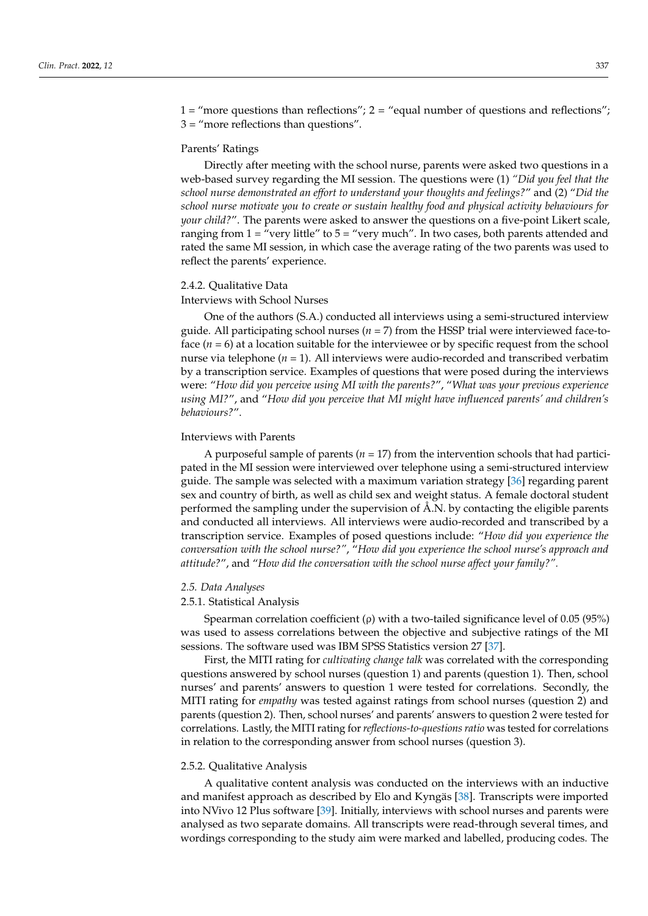1 = "more questions than reflections"; 2 = "equal number of questions and reflections"; 3 = "more reflections than questions".

#### Parents' Ratings

Directly after meeting with the school nurse, parents were asked two questions in a web-based survey regarding the MI session. The questions were (1) *"Did you feel that the school nurse demonstrated an effort to understand your thoughts and feelings?*" and (2) "*Did the school nurse motivate you to create or sustain healthy food and physical activity behaviours for your child?*". The parents were asked to answer the questions on a five-point Likert scale, ranging from  $1 =$  "very little" to  $5 =$  "very much". In two cases, both parents attended and rated the same MI session, in which case the average rating of the two parents was used to reflect the parents' experience.

#### 2.4.2. Qualitative Data

### Interviews with School Nurses

One of the authors (S.A.) conducted all interviews using a semi-structured interview guide. All participating school nurses (*n =* 7) from the HSSP trial were interviewed face-toface (*n =* 6) at a location suitable for the interviewee or by specific request from the school nurse via telephone (*n =* 1). All interviews were audio-recorded and transcribed verbatim by a transcription service. Examples of questions that were posed during the interviews were: "*How did you perceive using MI with the parents?*", "*What was your previous experience using MI?*", and "*How did you perceive that MI might have influenced parents' and children's behaviours?*".

#### Interviews with Parents

A purposeful sample of parents (*n =* 17) from the intervention schools that had participated in the MI session were interviewed over telephone using a semi-structured interview guide. The sample was selected with a maximum variation strategy [\[36\]](#page-16-5) regarding parent sex and country of birth, as well as child sex and weight status. A female doctoral student performed the sampling under the supervision of Å.N. by contacting the eligible parents and conducted all interviews. All interviews were audio-recorded and transcribed by a transcription service. Examples of posed questions include: "*How did you experience the conversation with the school nurse?"*, "*How did you experience the school nurse's approach and attitude?*", and "*How did the conversation with the school nurse affect your family?".*

#### *2.5. Data Analyses*

#### 2.5.1. Statistical Analysis

Spearman correlation coefficient ( $\rho$ ) with a two-tailed significance level of 0.05 (95%) was used to assess correlations between the objective and subjective ratings of the MI sessions. The software used was IBM SPSS Statistics version 27 [\[37\]](#page-16-6).

First, the MITI rating for *cultivating change talk* was correlated with the corresponding questions answered by school nurses (question 1) and parents (question 1). Then, school nurses' and parents' answers to question 1 were tested for correlations. Secondly, the MITI rating for *empathy* was tested against ratings from school nurses (question 2) and parents (question 2). Then, school nurses' and parents' answers to question 2 were tested for correlations. Lastly, the MITI rating for *reflections-to-questions ratio* was tested for correlations in relation to the corresponding answer from school nurses (question 3).

## 2.5.2. Qualitative Analysis

A qualitative content analysis was conducted on the interviews with an inductive and manifest approach as described by Elo and Kyngäs [\[38\]](#page-16-7). Transcripts were imported into NVivo 12 Plus software [\[39\]](#page-16-8). Initially, interviews with school nurses and parents were analysed as two separate domains. All transcripts were read-through several times, and wordings corresponding to the study aim were marked and labelled, producing codes. The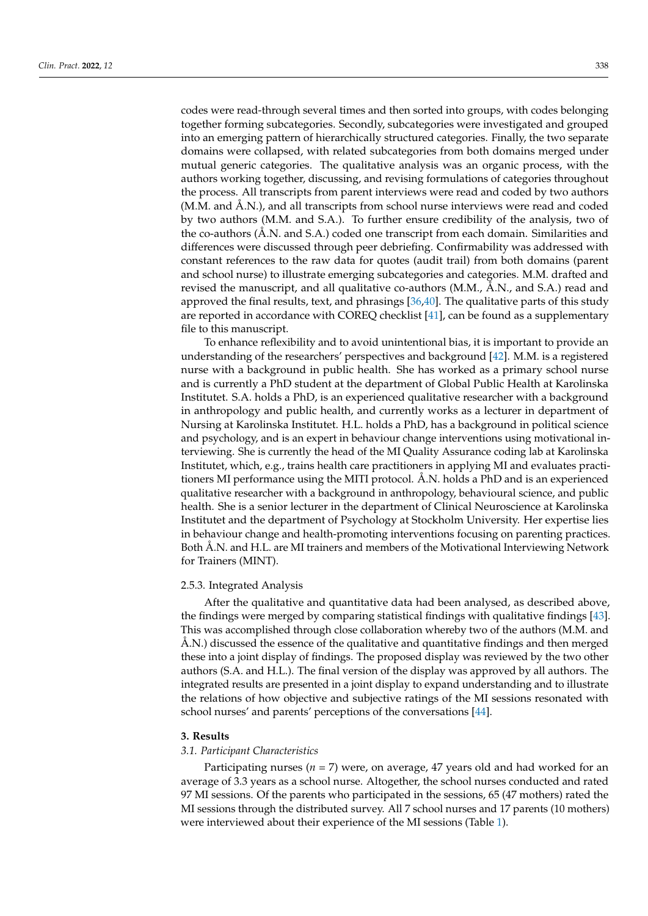codes were read-through several times and then sorted into groups, with codes belonging together forming subcategories. Secondly, subcategories were investigated and grouped into an emerging pattern of hierarchically structured categories. Finally, the two separate domains were collapsed, with related subcategories from both domains merged under mutual generic categories. The qualitative analysis was an organic process, with the authors working together, discussing, and revising formulations of categories throughout the process. All transcripts from parent interviews were read and coded by two authors (M.M. and Å.N.), and all transcripts from school nurse interviews were read and coded by two authors (M.M. and S.A.). To further ensure credibility of the analysis, two of the co-authors (Å.N. and S.A.) coded one transcript from each domain. Similarities and differences were discussed through peer debriefing. Confirmability was addressed with constant references to the raw data for quotes (audit trail) from both domains (parent and school nurse) to illustrate emerging subcategories and categories. M.M. drafted and revised the manuscript, and all qualitative co-authors (M.M., Å.N., and S.A.) read and approved the final results, text, and phrasings [\[36,](#page-16-5)[40\]](#page-16-9). The qualitative parts of this study are reported in accordance with COREQ checklist [\[41\]](#page-16-10), can be found as a supplementary file to this manuscript.

To enhance reflexibility and to avoid unintentional bias, it is important to provide an understanding of the researchers' perspectives and background [\[42\]](#page-16-11). M.M. is a registered nurse with a background in public health. She has worked as a primary school nurse and is currently a PhD student at the department of Global Public Health at Karolinska Institutet. S.A. holds a PhD, is an experienced qualitative researcher with a background in anthropology and public health, and currently works as a lecturer in department of Nursing at Karolinska Institutet. H.L. holds a PhD, has a background in political science and psychology, and is an expert in behaviour change interventions using motivational interviewing. She is currently the head of the MI Quality Assurance coding lab at Karolinska Institutet, which, e.g., trains health care practitioners in applying MI and evaluates practitioners MI performance using the MITI protocol. Å.N. holds a PhD and is an experienced qualitative researcher with a background in anthropology, behavioural science, and public health. She is a senior lecturer in the department of Clinical Neuroscience at Karolinska Institutet and the department of Psychology at Stockholm University. Her expertise lies in behaviour change and health-promoting interventions focusing on parenting practices. Both Å.N. and H.L. are MI trainers and members of the Motivational Interviewing Network for Trainers (MINT).

#### 2.5.3. Integrated Analysis

After the qualitative and quantitative data had been analysed, as described above, the findings were merged by comparing statistical findings with qualitative findings [\[43\]](#page-16-12). This was accomplished through close collaboration whereby two of the authors (M.M. and Å.N.) discussed the essence of the qualitative and quantitative findings and then merged these into a joint display of findings. The proposed display was reviewed by the two other authors (S.A. and H.L.). The final version of the display was approved by all authors. The integrated results are presented in a joint display to expand understanding and to illustrate the relations of how objective and subjective ratings of the MI sessions resonated with school nurses' and parents' perceptions of the conversations [\[44\]](#page-16-13).

# **3. Results**

#### *3.1. Participant Characteristics*

Participating nurses (*n =* 7) were, on average, 47 years old and had worked for an average of 3.3 years as a school nurse. Altogether, the school nurses conducted and rated 97 MI sessions. Of the parents who participated in the sessions, 65 (47 mothers) rated the MI sessions through the distributed survey. All 7 school nurses and 17 parents (10 mothers) were interviewed about their experience of the MI sessions (Table [1\)](#page-6-0).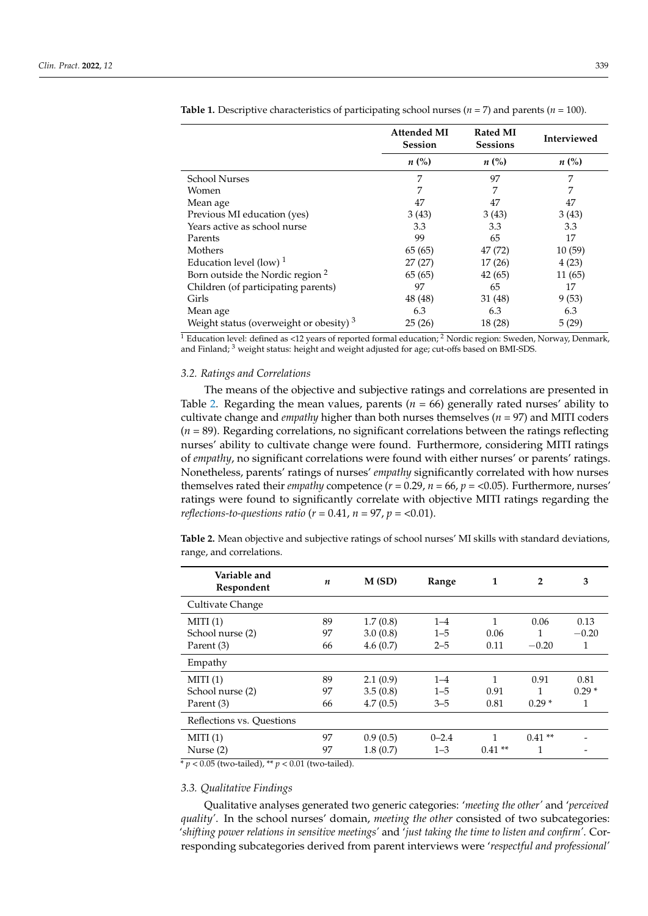|                                             | <b>Attended MI</b><br><b>Session</b> | <b>Rated MI</b><br><b>Sessions</b> | Interviewed |
|---------------------------------------------|--------------------------------------|------------------------------------|-------------|
|                                             | $n\ (\%)$                            | $n\ (\%)$                          | $n\ (\%)$   |
| <b>School Nurses</b>                        | 7                                    | 97                                 | 7           |
| Women                                       | 7                                    | 7                                  | 7           |
| Mean age                                    | 47                                   | 47                                 | 47          |
| Previous MI education (yes)                 | 3(43)                                | 3(43)                              | 3(43)       |
| Years active as school nurse                | 3.3                                  | 3.3                                | 3.3         |
| Parents                                     | 99                                   | 65                                 | 17          |
| Mothers                                     | 65 (65)                              | 47 (72)                            | 10(59)      |
| Education level (low) $1$                   | 27(27)                               | 17(26)                             | 4(23)       |
| Born outside the Nordic region <sup>2</sup> | 65(65)                               | 42(65)                             | 11(65)      |
| Children (of participating parents)         | 97                                   | 65                                 | 17          |
| Girls                                       | 48 (48)                              | 31 (48)                            | 9(53)       |
| Mean age                                    | 6.3                                  | 6.3                                | 6.3         |
| Weight status (overweight or obesity) $3$   | 25(26)                               | 18 (28)                            | 5(29)       |

<span id="page-6-0"></span>**Table 1.** Descriptive characteristics of participating school nurses (*n =* 7) and parents (*n =* 100).

<sup>1</sup> Education level: defined as <12 years of reported formal education; <sup>2</sup> Nordic region: Sweden, Norway, Denmark, and Finland; <sup>3</sup> weight status: height and weight adjusted for age; cut-offs based on BMI-SDS.

## *3.2. Ratings and Correlations*

The means of the objective and subjective ratings and correlations are presented in Table [2.](#page-6-1) Regarding the mean values, parents ( $n = 66$ ) generally rated nurses' ability to cultivate change and *empathy* higher than both nurses themselves (*n =* 97) and MITI coders (*n =* 89). Regarding correlations, no significant correlations between the ratings reflecting nurses' ability to cultivate change were found. Furthermore, considering MITI ratings of *empathy*, no significant correlations were found with either nurses' or parents' ratings. Nonetheless, parents' ratings of nurses' *empathy* significantly correlated with how nurses themselves rated their *empathy* competence (*r =* 0.29, *n =* 66, *p* = <0.05). Furthermore, nurses' ratings were found to significantly correlate with objective MITI ratings regarding the *reflections-to-questions ratio* ( $r = 0.41$ ,  $n = 97$ ,  $p = <0.01$ ).

<span id="page-6-1"></span>**Table 2.** Mean objective and subjective ratings of school nurses' MI skills with standard deviations, range, and correlations.

| Variable and<br>Respondent                                                      | $\boldsymbol{n}$ | M(SD)    | Range     | 1        | $\overline{2}$ | 3       |
|---------------------------------------------------------------------------------|------------------|----------|-----------|----------|----------------|---------|
| Cultivate Change                                                                |                  |          |           |          |                |         |
| MITI(1)                                                                         | 89               | 1.7(0.8) | $1 - 4$   | 1        | 0.06           | 0.13    |
| School nurse (2)                                                                | 97               | 3.0(0.8) | $1 - 5$   | 0.06     |                | $-0.20$ |
| Parent (3)                                                                      | 66               | 4.6(0.7) | $2 - 5$   | 0.11     | $-0.20$        | 1       |
| Empathy                                                                         |                  |          |           |          |                |         |
| MITI(1)                                                                         | 89               | 2.1(0.9) | $1 - 4$   | 1        | 0.91           | 0.81    |
| School nurse (2)                                                                | 97               | 3.5(0.8) | $1 - 5$   | 0.91     |                | $0.29*$ |
| Parent (3)                                                                      | 66               | 4.7(0.5) | $3 - 5$   | 0.81     | $0.29*$        | 1       |
| Reflections vs. Ouestions                                                       |                  |          |           |          |                |         |
| MITI(1)                                                                         | 97               | 0.9(0.5) | $0 - 2.4$ | 1        | $0.41**$       |         |
| Nurse $(2)$<br>$*$ and $0.05$ (boxed to the J) $**$ and $0.01$ (boxed to the J) | 97               | 1.8(0.7) | $1 - 3$   | $0.41**$ | 1              |         |

\* *p* < 0.05 (two-tailed), \*\* *p* < 0.01 (two-tailed).

#### *3.3. Qualitative Findings*

Qualitative analyses generated two generic categories: '*meeting the other'* and '*perceived quality'*. In the school nurses' domain, *meeting the other* consisted of two subcategories: '*shifting power relations in sensitive meetings'* and '*just taking the time to listen and confirm'*. Corresponding subcategories derived from parent interviews were '*respectful and professional'*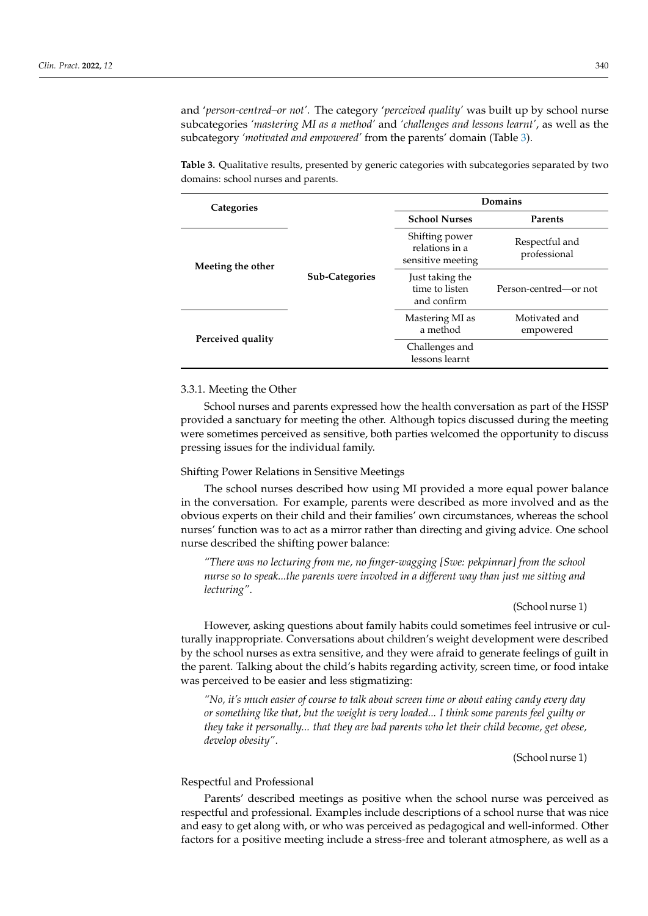and '*person-centred–or not'.* The category '*perceived quality'* was built up by school nurse subcategories *'mastering MI as a method'* and *'challenges and lessons learnt'*, as well as the subcategory *'motivated and empowered'* from the parents' domain (Table [3\)](#page-7-0).

<span id="page-7-0"></span>**Table 3.** Qualitative results, presented by generic categories with subcategories separated by two domains: school nurses and parents.

| Categories        |                       | Domains                                               |                                |  |  |
|-------------------|-----------------------|-------------------------------------------------------|--------------------------------|--|--|
|                   |                       | <b>School Nurses</b>                                  | <b>Parents</b>                 |  |  |
| Meeting the other |                       | Shifting power<br>relations in a<br>sensitive meeting | Respectful and<br>professional |  |  |
|                   | <b>Sub-Categories</b> | Just taking the<br>time to listen<br>and confirm      | Person-centred—or not          |  |  |
| Perceived quality |                       | Mastering MI as<br>a method                           | Motivated and<br>empowered     |  |  |
|                   |                       | Challenges and<br>lessons learnt                      |                                |  |  |

#### 3.3.1. Meeting the Other

School nurses and parents expressed how the health conversation as part of the HSSP provided a sanctuary for meeting the other. Although topics discussed during the meeting were sometimes perceived as sensitive, both parties welcomed the opportunity to discuss pressing issues for the individual family.

#### Shifting Power Relations in Sensitive Meetings

The school nurses described how using MI provided a more equal power balance in the conversation. For example, parents were described as more involved and as the obvious experts on their child and their families' own circumstances, whereas the school nurses' function was to act as a mirror rather than directing and giving advice. One school nurse described the shifting power balance:

*"There was no lecturing from me, no finger-wagging [Swe: pekpinnar] from the school nurse so to speak...the parents were involved in a different way than just me sitting and lecturing"*.

#### (School nurse 1)

However, asking questions about family habits could sometimes feel intrusive or culturally inappropriate. Conversations about children's weight development were described by the school nurses as extra sensitive, and they were afraid to generate feelings of guilt in the parent. Talking about the child's habits regarding activity, screen time, or food intake was perceived to be easier and less stigmatizing:

*"No, it's much easier of course to talk about screen time or about eating candy every day or something like that, but the weight is very loaded... I think some parents feel guilty or they take it personally... that they are bad parents who let their child become, get obese, develop obesity"*.

(School nurse 1)

# Respectful and Professional

Parents' described meetings as positive when the school nurse was perceived as respectful and professional. Examples include descriptions of a school nurse that was nice and easy to get along with, or who was perceived as pedagogical and well-informed. Other factors for a positive meeting include a stress-free and tolerant atmosphere, as well as a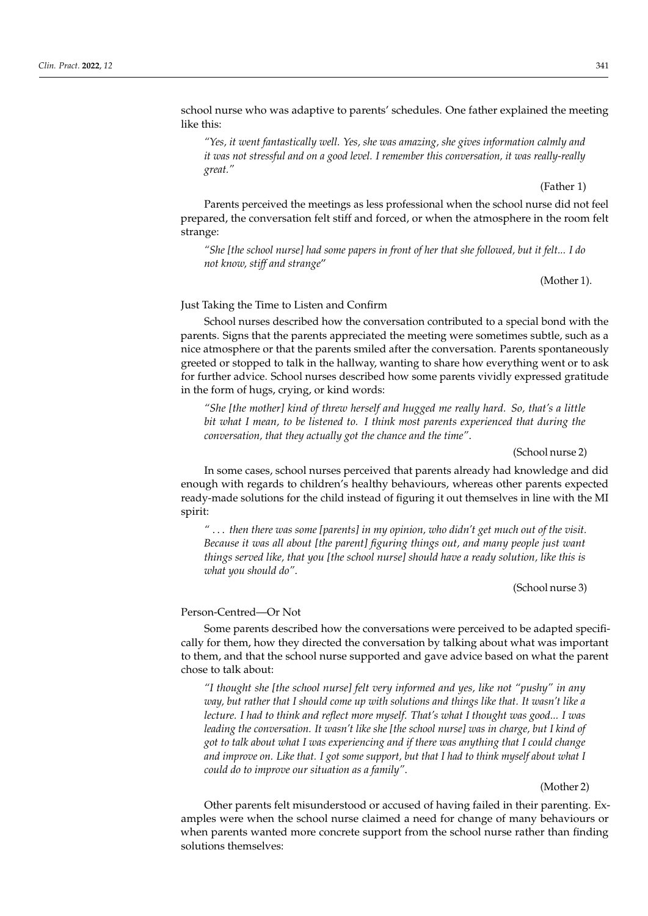school nurse who was adaptive to parents' schedules. One father explained the meeting like this:

*"Yes, it went fantastically well. Yes, she was amazing, she gives information calmly and it was not stressful and on a good level. I remember this conversation, it was really-really great."*

(Father 1)

Parents perceived the meetings as less professional when the school nurse did not feel prepared, the conversation felt stiff and forced, or when the atmosphere in the room felt strange:

*"She [the school nurse] had some papers in front of her that she followed, but it felt... I do not know, stiff and strange*"

(Mother 1).

## Just Taking the Time to Listen and Confirm

School nurses described how the conversation contributed to a special bond with the parents. Signs that the parents appreciated the meeting were sometimes subtle, such as a nice atmosphere or that the parents smiled after the conversation. Parents spontaneously greeted or stopped to talk in the hallway, wanting to share how everything went or to ask for further advice. School nurses described how some parents vividly expressed gratitude in the form of hugs, crying, or kind words:

*"She [the mother] kind of threw herself and hugged me really hard. So, that's a little bit what I mean, to be listened to. I think most parents experienced that during the conversation, that they actually got the chance and the time"*.

## (School nurse 2)

In some cases, school nurses perceived that parents already had knowledge and did enough with regards to children's healthy behaviours, whereas other parents expected ready-made solutions for the child instead of figuring it out themselves in line with the MI spirit:

*"* . . . *then there was some [parents] in my opinion, who didn't get much out of the visit. Because it was all about [the parent] figuring things out, and many people just want things served like, that you [the school nurse] should have a ready solution, like this is what you should do"*.

(School nurse 3)

## Person-Centred—Or Not

Some parents described how the conversations were perceived to be adapted specifically for them, how they directed the conversation by talking about what was important to them, and that the school nurse supported and gave advice based on what the parent chose to talk about:

*"I thought she [the school nurse] felt very informed and yes, like not "pushy" in any way, but rather that I should come up with solutions and things like that. It wasn't like a lecture. I had to think and reflect more myself. That's what I thought was good... I was leading the conversation. It wasn't like she [the school nurse] was in charge, but I kind of got to talk about what I was experiencing and if there was anything that I could change and improve on. Like that. I got some support, but that I had to think myself about what I could do to improve our situation as a family"*.

(Mother 2)

Other parents felt misunderstood or accused of having failed in their parenting. Examples were when the school nurse claimed a need for change of many behaviours or when parents wanted more concrete support from the school nurse rather than finding solutions themselves: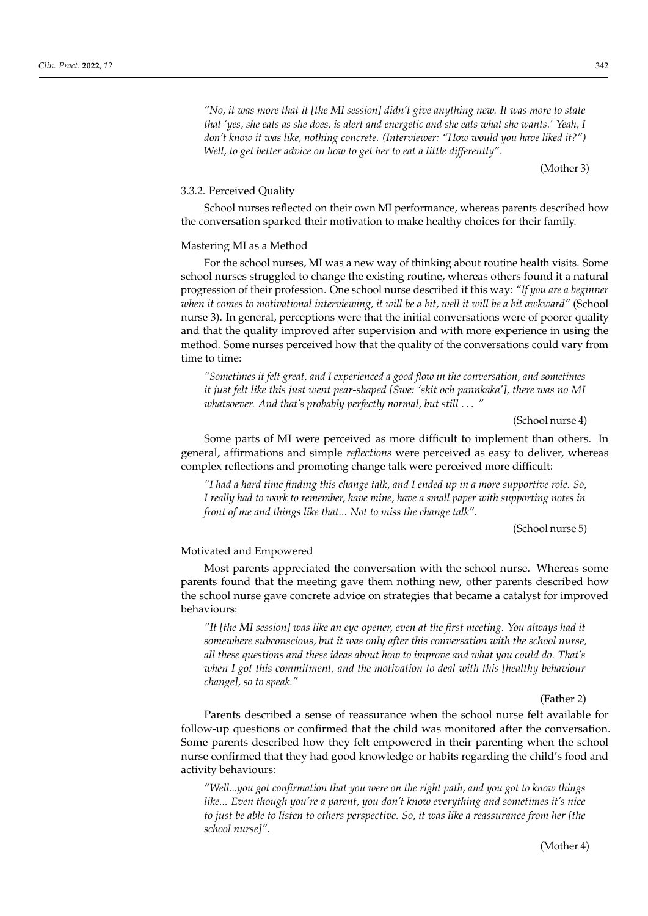*"No, it was more that it [the MI session] didn't give anything new. It was more to state that 'yes, she eats as she does, is alert and energetic and she eats what she wants.' Yeah, I don't know it was like, nothing concrete. (Interviewer: "How would you have liked it?") Well, to get better advice on how to get her to eat a little differently"*.

(Mother 3)

## 3.3.2. Perceived Quality

School nurses reflected on their own MI performance, whereas parents described how the conversation sparked their motivation to make healthy choices for their family.

#### Mastering MI as a Method

For the school nurses, MI was a new way of thinking about routine health visits. Some school nurses struggled to change the existing routine, whereas others found it a natural progression of their profession. One school nurse described it this way: *"If you are a beginner when it comes to motivational interviewing, it will be a bit, well it will be a bit awkward"* (School nurse 3). In general, perceptions were that the initial conversations were of poorer quality and that the quality improved after supervision and with more experience in using the method. Some nurses perceived how that the quality of the conversations could vary from time to time:

*"Sometimes it felt great, and I experienced a good flow in the conversation, and sometimes it just felt like this just went pear-shaped [Swe: 'skit och pannkaka'], there was no MI whatsoever. And that's probably perfectly normal, but still* . . . *"*

## (School nurse 4)

Some parts of MI were perceived as more difficult to implement than others. In general, affirmations and simple *reflections* were perceived as easy to deliver, whereas complex reflections and promoting change talk were perceived more difficult:

*"I had a hard time finding this change talk, and I ended up in a more supportive role. So, I really had to work to remember, have mine, have a small paper with supporting notes in front of me and things like that... Not to miss the change talk"*.

(School nurse 5)

#### Motivated and Empowered

Most parents appreciated the conversation with the school nurse. Whereas some parents found that the meeting gave them nothing new, other parents described how the school nurse gave concrete advice on strategies that became a catalyst for improved behaviours:

*"It [the MI session] was like an eye-opener, even at the first meeting. You always had it somewhere subconscious, but it was only after this conversation with the school nurse, all these questions and these ideas about how to improve and what you could do. That's when I got this commitment, and the motivation to deal with this [healthy behaviour change], so to speak."*

(Father 2)

Parents described a sense of reassurance when the school nurse felt available for follow-up questions or confirmed that the child was monitored after the conversation. Some parents described how they felt empowered in their parenting when the school nurse confirmed that they had good knowledge or habits regarding the child's food and activity behaviours:

*"Well...you got confirmation that you were on the right path, and you got to know things like... Even though you're a parent, you don't know everything and sometimes it's nice to just be able to listen to others perspective. So, it was like a reassurance from her [the school nurse]"*.

(Mother 4)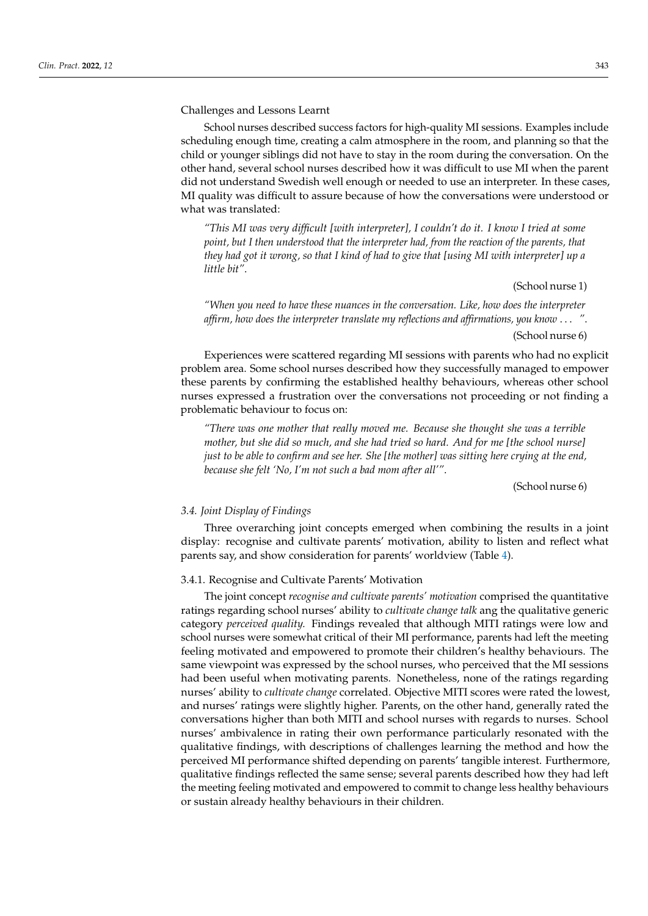Challenges and Lessons Learnt

School nurses described success factors for high-quality MI sessions. Examples include scheduling enough time, creating a calm atmosphere in the room, and planning so that the child or younger siblings did not have to stay in the room during the conversation. On the other hand, several school nurses described how it was difficult to use MI when the parent did not understand Swedish well enough or needed to use an interpreter. In these cases, MI quality was difficult to assure because of how the conversations were understood or what was translated:

*"This MI was very difficult [with interpreter], I couldn't do it. I know I tried at some point, but I then understood that the interpreter had, from the reaction of the parents, that they had got it wrong, so that I kind of had to give that [using MI with interpreter] up a little bit"*.

(School nurse 1)

*"When you need to have these nuances in the conversation. Like, how does the interpreter affirm, how does the interpreter translate my reflections and affirmations, you know* . . . *"*. (School nurse 6)

Experiences were scattered regarding MI sessions with parents who had no explicit problem area. Some school nurses described how they successfully managed to empower these parents by confirming the established healthy behaviours, whereas other school nurses expressed a frustration over the conversations not proceeding or not finding a problematic behaviour to focus on:

*"There was one mother that really moved me. Because she thought she was a terrible mother, but she did so much, and she had tried so hard. And for me [the school nurse] just to be able to confirm and see her. She [the mother] was sitting here crying at the end, because she felt 'No, I'm not such a bad mom after all'"*.

(School nurse 6)

#### *3.4. Joint Display of Findings*

Three overarching joint concepts emerged when combining the results in a joint display: recognise and cultivate parents' motivation, ability to listen and reflect what parents say, and show consideration for parents' worldview (Table [4\)](#page-11-0).

# 3.4.1. Recognise and Cultivate Parents' Motivation

The joint concept *recognise and cultivate parents' motivation* comprised the quantitative ratings regarding school nurses' ability to *cultivate change talk* ang the qualitative generic category *perceived quality.* Findings revealed that although MITI ratings were low and school nurses were somewhat critical of their MI performance, parents had left the meeting feeling motivated and empowered to promote their children's healthy behaviours. The same viewpoint was expressed by the school nurses, who perceived that the MI sessions had been useful when motivating parents. Nonetheless, none of the ratings regarding nurses' ability to *cultivate change* correlated. Objective MITI scores were rated the lowest, and nurses' ratings were slightly higher. Parents, on the other hand, generally rated the conversations higher than both MITI and school nurses with regards to nurses. School nurses' ambivalence in rating their own performance particularly resonated with the qualitative findings, with descriptions of challenges learning the method and how the perceived MI performance shifted depending on parents' tangible interest. Furthermore, qualitative findings reflected the same sense; several parents described how they had left the meeting feeling motivated and empowered to commit to change less healthy behaviours or sustain already healthy behaviours in their children.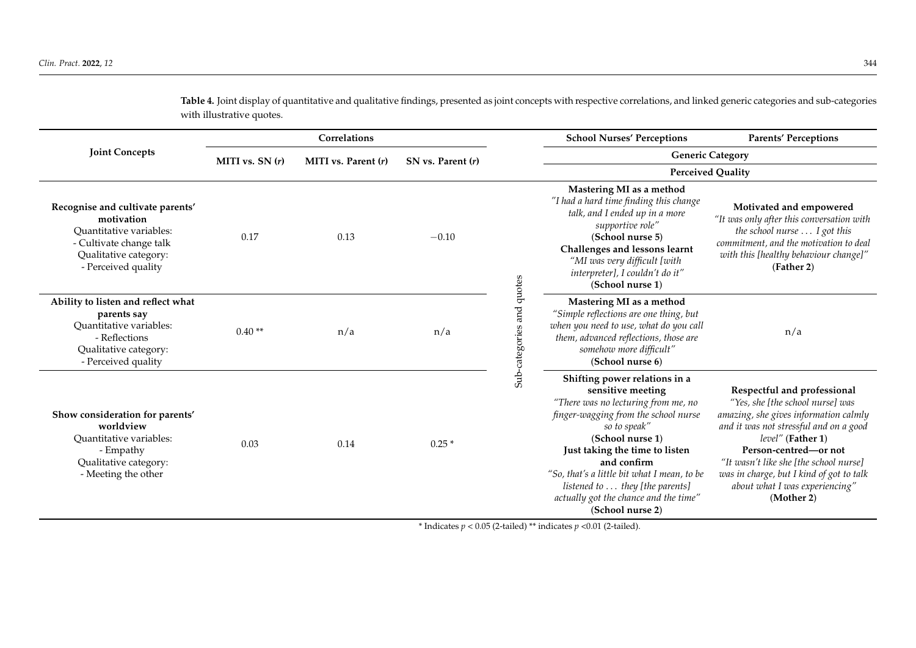<span id="page-11-0"></span>

|                                                                                                                                                      | <b>Correlations</b> |                       |                   |                           | <b>School Nurses' Perceptions</b>                                                                                                                                                                                                                                                                                                                                     | <b>Parents' Perceptions</b>                                                                                                                                                                                                                                                                                                            |
|------------------------------------------------------------------------------------------------------------------------------------------------------|---------------------|-----------------------|-------------------|---------------------------|-----------------------------------------------------------------------------------------------------------------------------------------------------------------------------------------------------------------------------------------------------------------------------------------------------------------------------------------------------------------------|----------------------------------------------------------------------------------------------------------------------------------------------------------------------------------------------------------------------------------------------------------------------------------------------------------------------------------------|
| <b>Joint Concepts</b>                                                                                                                                | MITI vs. $SN(r)$    | MITI vs. Parent $(r)$ | SN vs. Parent (r) |                           |                                                                                                                                                                                                                                                                                                                                                                       | <b>Generic Category</b>                                                                                                                                                                                                                                                                                                                |
|                                                                                                                                                      |                     |                       |                   |                           | <b>Perceived Quality</b>                                                                                                                                                                                                                                                                                                                                              |                                                                                                                                                                                                                                                                                                                                        |
| Recognise and cultivate parents'<br>motivation<br>Quantitative variables:<br>- Cultivate change talk<br>Qualitative category:<br>- Perceived quality | 0.17                | 0.13                  | $-0.10$           | Sub-categories and quotes | Mastering MI as a method<br>"I had a hard time finding this change<br>talk, and I ended up in a more<br>supportive role"<br>(School nurse 5)<br>Challenges and lessons learnt<br>"MI was very difficult [with<br>interpreter], I couldn't do it"<br>(School nurse 1)                                                                                                  | Motivated and empowered<br>"It was only after this conversation with<br>the school nurse  I got this<br>commitment, and the motivation to deal<br>with this [healthy behaviour change]"<br>(Father 2)                                                                                                                                  |
| Ability to listen and reflect what<br>parents say<br>Quantitative variables:<br>- Reflections<br>Qualitative category:<br>- Perceived quality        | $0.40**$            | n/a                   | n/a               |                           | Mastering MI as a method<br>"Simple reflections are one thing, but<br>when you need to use, what do you call<br>them, advanced reflections, those are<br>somehow more difficult"<br>(School nurse 6)                                                                                                                                                                  | n/a                                                                                                                                                                                                                                                                                                                                    |
| Show consideration for parents'<br>worldview<br>Ouantitative variables:<br>- Empathy<br>Qualitative category:<br>- Meeting the other                 | 0.03                | 0.14                  | $0.25*$           |                           | Shifting power relations in a<br>sensitive meeting<br>"There was no lecturing from me, no<br>finger-wagging from the school nurse<br>so to speak"<br>(School nurse 1)<br>Just taking the time to listen<br>and confirm<br>"So, that's a little bit what I mean, to be<br>listened to  they [the parents]<br>actually got the chance and the time"<br>(School nurse 2) | Respectful and professional<br>"Yes, she [the school nurse] was<br>amazing, she gives information calmly<br>and it was not stressful and on a good<br>level" (Father 1)<br>Person-centred-or not<br>"It wasn't like she [the school nurse]<br>was in charge, but I kind of got to talk<br>about what I was experiencing"<br>(Mother 2) |

**Table 4.** Joint display of quantitative and qualitative findings, presented as joint concepts with respective correlations, and linked generic categories and sub-categories with illustrative quotes.

\* Indicates  $p < 0.05$  (2-tailed) \*\* indicates  $p < 0.01$  (2-tailed).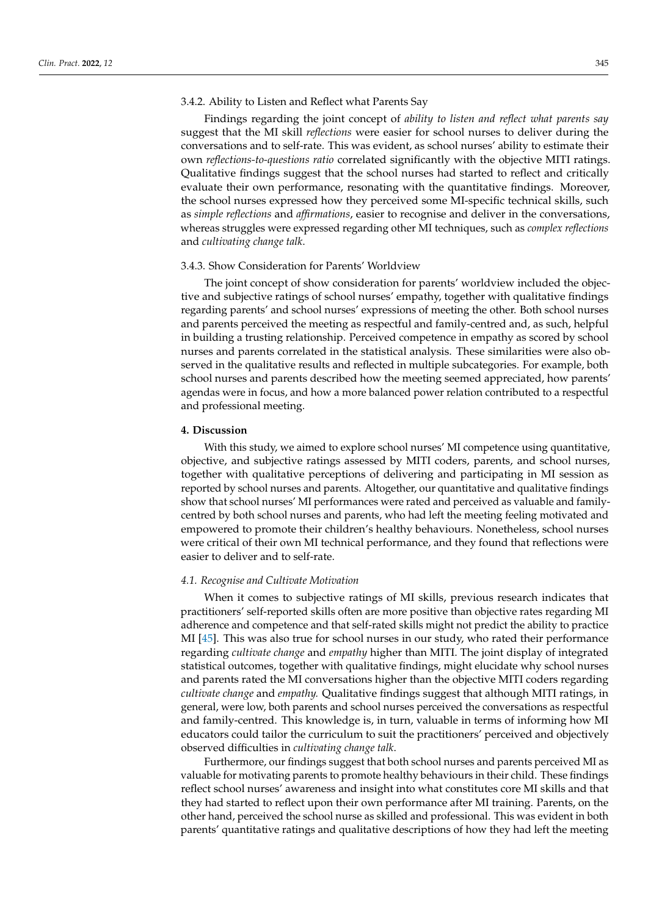Findings regarding the joint concept of *ability to listen and reflect what parents say* suggest that the MI skill *reflections* were easier for school nurses to deliver during the conversations and to self-rate. This was evident, as school nurses' ability to estimate their own *reflections-to-questions ratio* correlated significantly with the objective MITI ratings. Qualitative findings suggest that the school nurses had started to reflect and critically evaluate their own performance, resonating with the quantitative findings. Moreover, the school nurses expressed how they perceived some MI-specific technical skills, such as *simple reflections* and *affirmations*, easier to recognise and deliver in the conversations, whereas struggles were expressed regarding other MI techniques, such as *complex reflections* and *cultivating change talk*.

#### 3.4.3. Show Consideration for Parents' Worldview

The joint concept of show consideration for parents' worldview included the objective and subjective ratings of school nurses' empathy, together with qualitative findings regarding parents' and school nurses' expressions of meeting the other. Both school nurses and parents perceived the meeting as respectful and family-centred and, as such, helpful in building a trusting relationship. Perceived competence in empathy as scored by school nurses and parents correlated in the statistical analysis. These similarities were also observed in the qualitative results and reflected in multiple subcategories. For example, both school nurses and parents described how the meeting seemed appreciated, how parents' agendas were in focus, and how a more balanced power relation contributed to a respectful and professional meeting.

## **4. Discussion**

With this study, we aimed to explore school nurses' MI competence using quantitative, objective, and subjective ratings assessed by MITI coders, parents, and school nurses, together with qualitative perceptions of delivering and participating in MI session as reported by school nurses and parents. Altogether, our quantitative and qualitative findings show that school nurses' MI performances were rated and perceived as valuable and familycentred by both school nurses and parents, who had left the meeting feeling motivated and empowered to promote their children's healthy behaviours. Nonetheless, school nurses were critical of their own MI technical performance, and they found that reflections were easier to deliver and to self-rate.

## *4.1. Recognise and Cultivate Motivation*

When it comes to subjective ratings of MI skills, previous research indicates that practitioners' self-reported skills often are more positive than objective rates regarding MI adherence and competence and that self-rated skills might not predict the ability to practice MI [\[45\]](#page-16-14). This was also true for school nurses in our study, who rated their performance regarding *cultivate change* and *empathy* higher than MITI. The joint display of integrated statistical outcomes, together with qualitative findings, might elucidate why school nurses and parents rated the MI conversations higher than the objective MITI coders regarding *cultivate change* and *empathy.* Qualitative findings suggest that although MITI ratings, in general, were low, both parents and school nurses perceived the conversations as respectful and family-centred. This knowledge is, in turn, valuable in terms of informing how MI educators could tailor the curriculum to suit the practitioners' perceived and objectively observed difficulties in *cultivating change talk*.

Furthermore, our findings suggest that both school nurses and parents perceived MI as valuable for motivating parents to promote healthy behaviours in their child. These findings reflect school nurses' awareness and insight into what constitutes core MI skills and that they had started to reflect upon their own performance after MI training. Parents, on the other hand, perceived the school nurse as skilled and professional. This was evident in both parents' quantitative ratings and qualitative descriptions of how they had left the meeting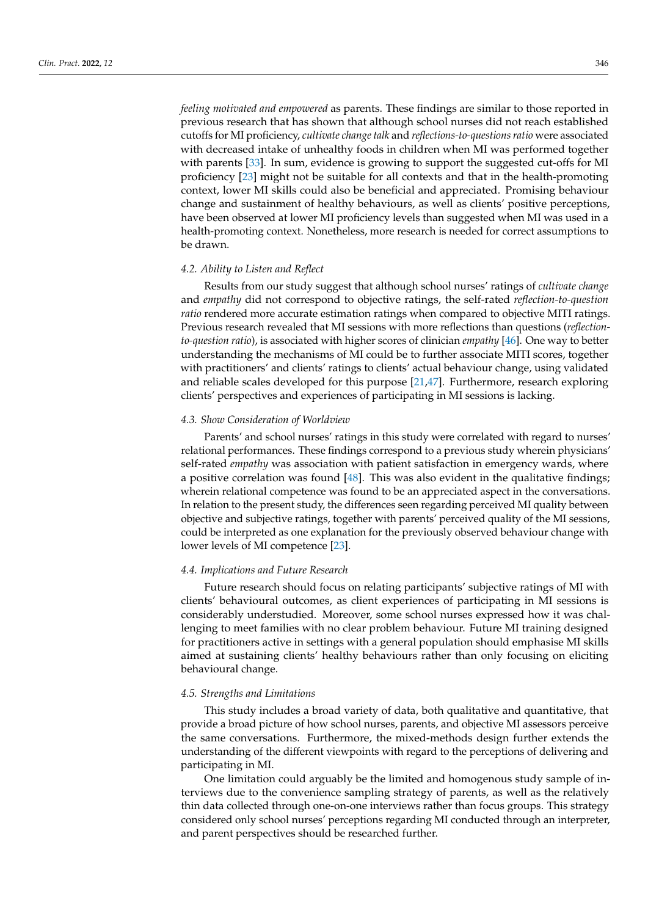*feeling motivated and empowered* as parents. These findings are similar to those reported in previous research that has shown that although school nurses did not reach established cutoffs for MI proficiency, *cultivate change talk* and *reflections-to-questions ratio* were associated with decreased intake of unhealthy foods in children when MI was performed together with parents [\[33\]](#page-16-2). In sum, evidence is growing to support the suggested cut-offs for MI proficiency [\[23\]](#page-15-19) might not be suitable for all contexts and that in the health-promoting context, lower MI skills could also be beneficial and appreciated. Promising behaviour change and sustainment of healthy behaviours, as well as clients' positive perceptions, have been observed at lower MI proficiency levels than suggested when MI was used in a health-promoting context. Nonetheless, more research is needed for correct assumptions to be drawn.

#### *4.2. Ability to Listen and Reflect*

Results from our study suggest that although school nurses' ratings of *cultivate change* and *empathy* did not correspond to objective ratings, the self-rated *reflection-to-question ratio* rendered more accurate estimation ratings when compared to objective MITI ratings. Previous research revealed that MI sessions with more reflections than questions (*reflectionto-question ratio*), is associated with higher scores of clinician *empathy* [\[46\]](#page-16-15). One way to better understanding the mechanisms of MI could be to further associate MITI scores, together with practitioners' and clients' ratings to clients' actual behaviour change, using validated and reliable scales developed for this purpose [\[21](#page-15-17)[,47\]](#page-16-16). Furthermore, research exploring clients' perspectives and experiences of participating in MI sessions is lacking.

#### *4.3. Show Consideration of Worldview*

Parents' and school nurses' ratings in this study were correlated with regard to nurses' relational performances. These findings correspond to a previous study wherein physicians' self-rated *empathy* was association with patient satisfaction in emergency wards, where a positive correlation was found [\[48\]](#page-16-17). This was also evident in the qualitative findings; wherein relational competence was found to be an appreciated aspect in the conversations. In relation to the present study, the differences seen regarding perceived MI quality between objective and subjective ratings, together with parents' perceived quality of the MI sessions, could be interpreted as one explanation for the previously observed behaviour change with lower levels of MI competence [\[23\]](#page-15-19).

#### *4.4. Implications and Future Research*

Future research should focus on relating participants' subjective ratings of MI with clients' behavioural outcomes, as client experiences of participating in MI sessions is considerably understudied. Moreover, some school nurses expressed how it was challenging to meet families with no clear problem behaviour. Future MI training designed for practitioners active in settings with a general population should emphasise MI skills aimed at sustaining clients' healthy behaviours rather than only focusing on eliciting behavioural change.

# *4.5. Strengths and Limitations*

This study includes a broad variety of data, both qualitative and quantitative, that provide a broad picture of how school nurses, parents, and objective MI assessors perceive the same conversations. Furthermore, the mixed-methods design further extends the understanding of the different viewpoints with regard to the perceptions of delivering and participating in MI.

One limitation could arguably be the limited and homogenous study sample of interviews due to the convenience sampling strategy of parents, as well as the relatively thin data collected through one-on-one interviews rather than focus groups. This strategy considered only school nurses' perceptions regarding MI conducted through an interpreter, and parent perspectives should be researched further.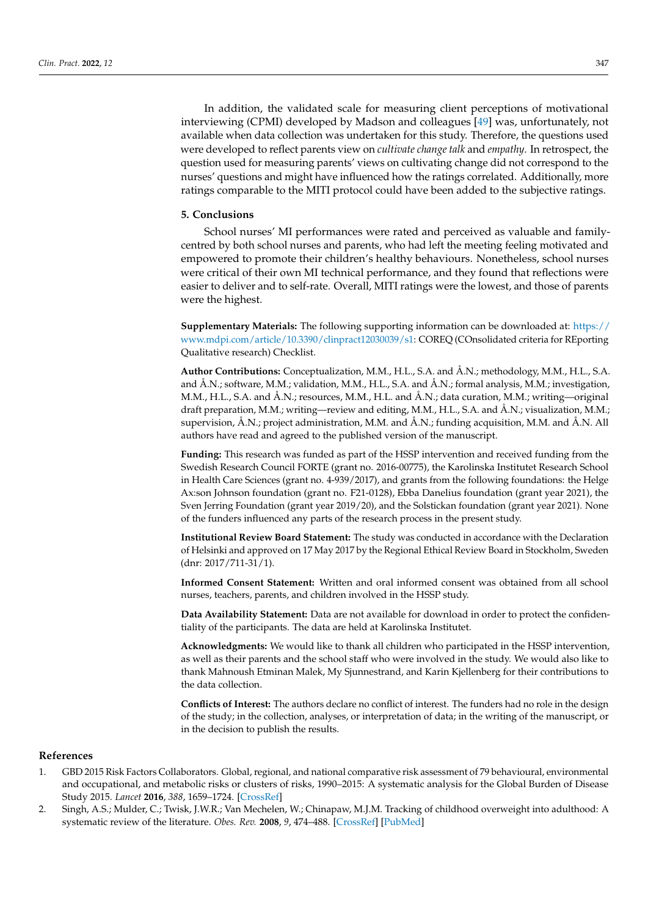In addition, the validated scale for measuring client perceptions of motivational interviewing (CPMI) developed by Madson and colleagues [\[49\]](#page-16-18) was, unfortunately, not available when data collection was undertaken for this study. Therefore, the questions used were developed to reflect parents view on *cultivate change talk* and *empathy*. In retrospect, the question used for measuring parents' views on cultivating change did not correspond to the nurses' questions and might have influenced how the ratings correlated. Additionally, more ratings comparable to the MITI protocol could have been added to the subjective ratings.

#### **5. Conclusions**

School nurses' MI performances were rated and perceived as valuable and familycentred by both school nurses and parents, who had left the meeting feeling motivated and empowered to promote their children's healthy behaviours. Nonetheless, school nurses were critical of their own MI technical performance, and they found that reflections were easier to deliver and to self-rate. Overall, MITI ratings were the lowest, and those of parents were the highest.

**Supplementary Materials:** The following supporting information can be downloaded at: [https://](https://www.mdpi.com/article/10.3390/clinpract12030039/s1) [www.mdpi.com/article/10.3390/clinpract12030039/s1:](https://www.mdpi.com/article/10.3390/clinpract12030039/s1) COREQ (COnsolidated criteria for REporting Qualitative research) Checklist.

**Author Contributions:** Conceptualization, M.M., H.L., S.A. and Å.N.; methodology, M.M., H.L., S.A. and Å.N.; software, M.M.; validation, M.M., H.L., S.A. and Å.N.; formal analysis, M.M.; investigation, M.M., H.L., S.A. and Å.N.; resources, M.M., H.L. and Å.N.; data curation, M.M.; writing—original draft preparation, M.M.; writing—review and editing, M.M., H.L., S.A. and Å.N.; visualization, M.M.; supervision, Å.N.; project administration, M.M. and Å.N.; funding acquisition, M.M. and Å.N. All authors have read and agreed to the published version of the manuscript.

**Funding:** This research was funded as part of the HSSP intervention and received funding from the Swedish Research Council FORTE (grant no. 2016-00775), the Karolinska Institutet Research School in Health Care Sciences (grant no. 4-939/2017), and grants from the following foundations: the Helge Ax:son Johnson foundation (grant no. F21-0128), Ebba Danelius foundation (grant year 2021), the Sven Jerring Foundation (grant year 2019/20), and the Solstickan foundation (grant year 2021). None of the funders influenced any parts of the research process in the present study.

**Institutional Review Board Statement:** The study was conducted in accordance with the Declaration of Helsinki and approved on 17 May 2017 by the Regional Ethical Review Board in Stockholm, Sweden (dnr: 2017/711-31/1).

**Informed Consent Statement:** Written and oral informed consent was obtained from all school nurses, teachers, parents, and children involved in the HSSP study.

**Data Availability Statement:** Data are not available for download in order to protect the confidentiality of the participants. The data are held at Karolinska Institutet.

**Acknowledgments:** We would like to thank all children who participated in the HSSP intervention, as well as their parents and the school staff who were involved in the study. We would also like to thank Mahnoush Etminan Malek, My Sjunnestrand, and Karin Kjellenberg for their contributions to the data collection.

**Conflicts of Interest:** The authors declare no conflict of interest. The funders had no role in the design of the study; in the collection, analyses, or interpretation of data; in the writing of the manuscript, or in the decision to publish the results.

### **References**

- <span id="page-14-0"></span>1. GBD 2015 Risk Factors Collaborators. Global, regional, and national comparative risk assessment of 79 behavioural, environmental and occupational, and metabolic risks or clusters of risks, 1990–2015: A systematic analysis for the Global Burden of Disease Study 2015. *Lancet* **2016**, *388*, 1659–1724. [\[CrossRef\]](http://doi.org/10.1016/S0140-6736(16)31679-8)
- <span id="page-14-1"></span>2. Singh, A.S.; Mulder, C.; Twisk, J.W.R.; Van Mechelen, W.; Chinapaw, M.J.M. Tracking of childhood overweight into adulthood: A systematic review of the literature. *Obes. Rev.* **2008**, *9*, 474–488. [\[CrossRef\]](http://doi.org/10.1111/j.1467-789X.2008.00475.x) [\[PubMed\]](http://www.ncbi.nlm.nih.gov/pubmed/18331423)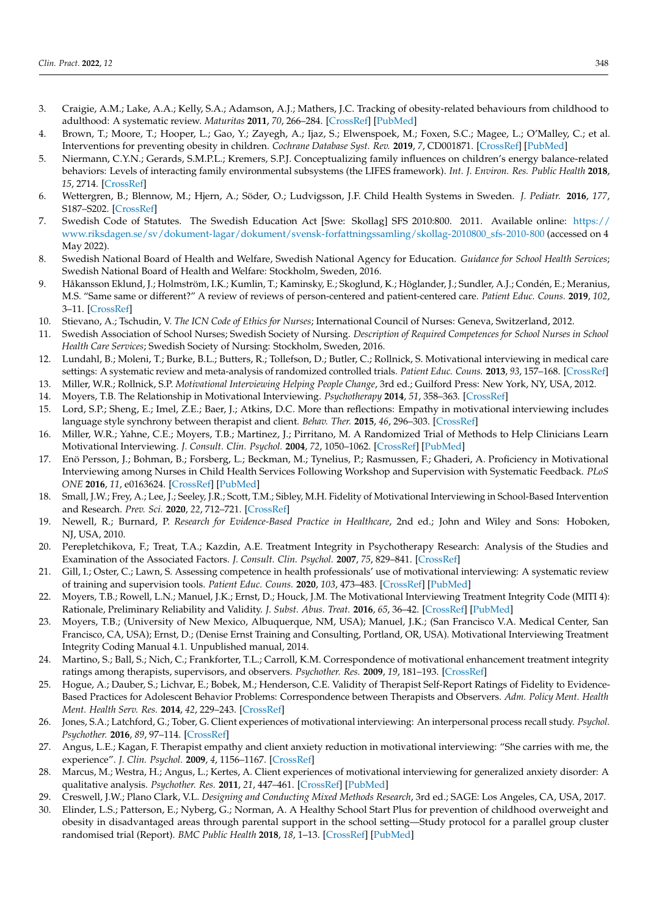- 3. Craigie, A.M.; Lake, A.A.; Kelly, S.A.; Adamson, A.J.; Mathers, J.C. Tracking of obesity-related behaviours from childhood to adulthood: A systematic review. *Maturitas* **2011**, *70*, 266–284. [\[CrossRef\]](http://doi.org/10.1016/j.maturitas.2011.08.005) [\[PubMed\]](http://www.ncbi.nlm.nih.gov/pubmed/21920682)
- <span id="page-15-0"></span>4. Brown, T.; Moore, T.; Hooper, L.; Gao, Y.; Zayegh, A.; Ijaz, S.; Elwenspoek, M.; Foxen, S.C.; Magee, L.; O'Malley, C.; et al. Interventions for preventing obesity in children. *Cochrane Database Syst. Rev.* **2019**, *7*, CD001871. [\[CrossRef\]](http://doi.org/10.1002/14651858.CD001871.pub4) [\[PubMed\]](http://www.ncbi.nlm.nih.gov/pubmed/31332776)
- <span id="page-15-1"></span>5. Niermann, C.Y.N.; Gerards, S.M.P.L.; Kremers, S.P.J. Conceptualizing family influences on children's energy balance-related behaviors: Levels of interacting family environmental subsystems (the LIFES framework). *Int. J. Environ. Res. Public Health* **2018**, *15*, 2714. [\[CrossRef\]](http://doi.org/10.3390/ijerph15122714)
- <span id="page-15-2"></span>6. Wettergren, B.; Blennow, M.; Hjern, A.; Söder, O.; Ludvigsson, J.F. Child Health Systems in Sweden. *J. Pediatr.* **2016**, *177*, S187–S202. [\[CrossRef\]](http://doi.org/10.1016/j.jpeds.2016.04.055)
- <span id="page-15-3"></span>7. Swedish Code of Statutes. The Swedish Education Act [Swe: Skollag] SFS 2010:800. 2011. Available online: [https://](https://www.riksdagen.se/sv/dokument-lagar/dokument/svensk-forfattningssamling/skollag-2010800_sfs-2010-800) [www.riksdagen.se/sv/dokument-lagar/dokument/svensk-forfattningssamling/skollag-2010800\\_sfs-2010-800](https://www.riksdagen.se/sv/dokument-lagar/dokument/svensk-forfattningssamling/skollag-2010800_sfs-2010-800) (accessed on 4 May 2022).
- <span id="page-15-4"></span>8. Swedish National Board of Health and Welfare, Swedish National Agency for Education. *Guidance for School Health Services*; Swedish National Board of Health and Welfare: Stockholm, Sweden, 2016.
- <span id="page-15-5"></span>9. Håkansson Eklund, J.; Holmström, I.K.; Kumlin, T.; Kaminsky, E.; Skoglund, K.; Höglander, J.; Sundler, A.J.; Condén, E.; Meranius, M.S. "Same same or different?" A review of reviews of person-centered and patient-centered care. *Patient Educ. Couns.* **2019**, *102*, 3–11. [\[CrossRef\]](http://doi.org/10.1016/j.pec.2018.08.029)
- <span id="page-15-6"></span>10. Stievano, A.; Tschudin, V. *The ICN Code of Ethics for Nurses*; International Council of Nurses: Geneva, Switzerland, 2012.
- <span id="page-15-7"></span>11. Swedish Association of School Nurses; Swedish Society of Nursing. *Description of Required Competences for School Nurses in School Health Care Services*; Swedish Society of Nursing: Stockholm, Sweden, 2016.
- <span id="page-15-8"></span>12. Lundahl, B.; Moleni, T.; Burke, B.L.; Butters, R.; Tollefson, D.; Butler, C.; Rollnick, S. Motivational interviewing in medical care settings: A systematic review and meta-analysis of randomized controlled trials. *Patient Educ. Couns.* **2013**, *93*, 157–168. [\[CrossRef\]](http://doi.org/10.1016/j.pec.2013.07.012)
- <span id="page-15-9"></span>13. Miller, W.R.; Rollnick, S.P. *Motivational Interviewing Helping People Change*, 3rd ed.; Guilford Press: New York, NY, USA, 2012.
- <span id="page-15-10"></span>14. Moyers, T.B. The Relationship in Motivational Interviewing. *Psychotherapy* **2014**, *51*, 358–363. [\[CrossRef\]](http://doi.org/10.1037/a0036910)
- <span id="page-15-11"></span>15. Lord, S.P.; Sheng, E.; Imel, Z.E.; Baer, J.; Atkins, D.C. More than reflections: Empathy in motivational interviewing includes language style synchrony between therapist and client. *Behav. Ther.* **2015**, *46*, 296–303. [\[CrossRef\]](http://doi.org/10.1016/j.beth.2014.11.002)
- <span id="page-15-12"></span>16. Miller, W.R.; Yahne, C.E.; Moyers, T.B.; Martinez, J.; Pirritano, M. A Randomized Trial of Methods to Help Clinicians Learn Motivational Interviewing. *J. Consult. Clin. Psychol.* **2004**, *72*, 1050–1062. [\[CrossRef\]](http://doi.org/10.1037/0022-006X.72.6.1050) [\[PubMed\]](http://www.ncbi.nlm.nih.gov/pubmed/15612851)
- <span id="page-15-13"></span>17. Enö Persson, J.; Bohman, B.; Forsberg, L.; Beckman, M.; Tynelius, P.; Rasmussen, F.; Ghaderi, A. Proficiency in Motivational Interviewing among Nurses in Child Health Services Following Workshop and Supervision with Systematic Feedback. *PLoS ONE* **2016**, *11*, e0163624. [\[CrossRef\]](http://doi.org/10.1371/journal.pone.0163624) [\[PubMed\]](http://www.ncbi.nlm.nih.gov/pubmed/27685152)
- <span id="page-15-14"></span>18. Small, J.W.; Frey, A.; Lee, J.; Seeley, J.R.; Scott, T.M.; Sibley, M.H. Fidelity of Motivational Interviewing in School-Based Intervention and Research. *Prev. Sci.* **2020**, *22*, 712–721. [\[CrossRef\]](http://doi.org/10.1007/s11121-020-01167-7)
- <span id="page-15-15"></span>19. Newell, R.; Burnard, P. *Research for Evidence-Based Practice in Healthcare*, 2nd ed.; John and Wiley and Sons: Hoboken, NJ, USA, 2010.
- <span id="page-15-16"></span>20. Perepletchikova, F.; Treat, T.A.; Kazdin, A.E. Treatment Integrity in Psychotherapy Research: Analysis of the Studies and Examination of the Associated Factors. *J. Consult. Clin. Psychol.* **2007**, *75*, 829–841. [\[CrossRef\]](http://doi.org/10.1037/0022-006X.75.6.829)
- <span id="page-15-17"></span>21. Gill, I.; Oster, C.; Lawn, S. Assessing competence in health professionals' use of motivational interviewing: A systematic review of training and supervision tools. *Patient Educ. Couns.* **2020**, *103*, 473–483. [\[CrossRef\]](http://doi.org/10.1016/j.pec.2019.09.021) [\[PubMed\]](http://www.ncbi.nlm.nih.gov/pubmed/31585819)
- <span id="page-15-18"></span>22. Moyers, T.B.; Rowell, L.N.; Manuel, J.K.; Ernst, D.; Houck, J.M. The Motivational Interviewing Treatment Integrity Code (MITI 4): Rationale, Preliminary Reliability and Validity. *J. Subst. Abus. Treat.* **2016**, *65*, 36–42. [\[CrossRef\]](http://doi.org/10.1016/j.jsat.2016.01.001) [\[PubMed\]](http://www.ncbi.nlm.nih.gov/pubmed/26874558)
- <span id="page-15-19"></span>23. Moyers, T.B.; (University of New Mexico, Albuquerque, NM, USA); Manuel, J.K.; (San Francisco V.A. Medical Center, San Francisco, CA, USA); Ernst, D.; (Denise Ernst Training and Consulting, Portland, OR, USA). Motivational Interviewing Treatment Integrity Coding Manual 4.1. Unpublished manual, 2014.
- <span id="page-15-20"></span>24. Martino, S.; Ball, S.; Nich, C.; Frankforter, T.L.; Carroll, K.M. Correspondence of motivational enhancement treatment integrity ratings among therapists, supervisors, and observers. *Psychother. Res.* **2009**, *19*, 181–193. [\[CrossRef\]](http://doi.org/10.1080/10503300802688460)
- <span id="page-15-21"></span>25. Hogue, A.; Dauber, S.; Lichvar, E.; Bobek, M.; Henderson, C.E. Validity of Therapist Self-Report Ratings of Fidelity to Evidence-Based Practices for Adolescent Behavior Problems: Correspondence between Therapists and Observers. *Adm. Policy Ment. Health Ment. Health Serv. Res.* **2014**, *42*, 229–243. [\[CrossRef\]](http://doi.org/10.1007/s10488-014-0548-2)
- <span id="page-15-22"></span>26. Jones, S.A.; Latchford, G.; Tober, G. Client experiences of motivational interviewing: An interpersonal process recall study. *Psychol. Psychother.* **2016**, *89*, 97–114. [\[CrossRef\]](http://doi.org/10.1111/papt.12061)
- <span id="page-15-23"></span>27. Angus, L.E.; Kagan, F. Therapist empathy and client anxiety reduction in motivational interviewing: "She carries with me, the experience". *J. Clin. Psychol.* **2009**, *4*, 1156–1167. [\[CrossRef\]](http://doi.org/10.1002/jclp.20635)
- <span id="page-15-24"></span>28. Marcus, M.; Westra, H.; Angus, L.; Kertes, A. Client experiences of motivational interviewing for generalized anxiety disorder: A qualitative analysis. *Psychother. Res.* **2011**, *21*, 447–461. [\[CrossRef\]](http://doi.org/10.1080/10503307.2011.578265) [\[PubMed\]](http://www.ncbi.nlm.nih.gov/pubmed/21644188)
- <span id="page-15-25"></span>29. Creswell, J.W.; Plano Clark, V.L. *Designing and Conducting Mixed Methods Research*, 3rd ed.; SAGE: Los Angeles, CA, USA, 2017.
- <span id="page-15-26"></span>30. Elinder, L.S.; Patterson, E.; Nyberg, G.; Norman, A. A Healthy School Start Plus for prevention of childhood overweight and obesity in disadvantaged areas through parental support in the school setting—Study protocol for a parallel group cluster randomised trial (Report). *BMC Public Health* **2018**, *18*, 1–13. [\[CrossRef\]](http://doi.org/10.1186/s12889-018-5354-4) [\[PubMed\]](http://www.ncbi.nlm.nih.gov/pubmed/29625599)